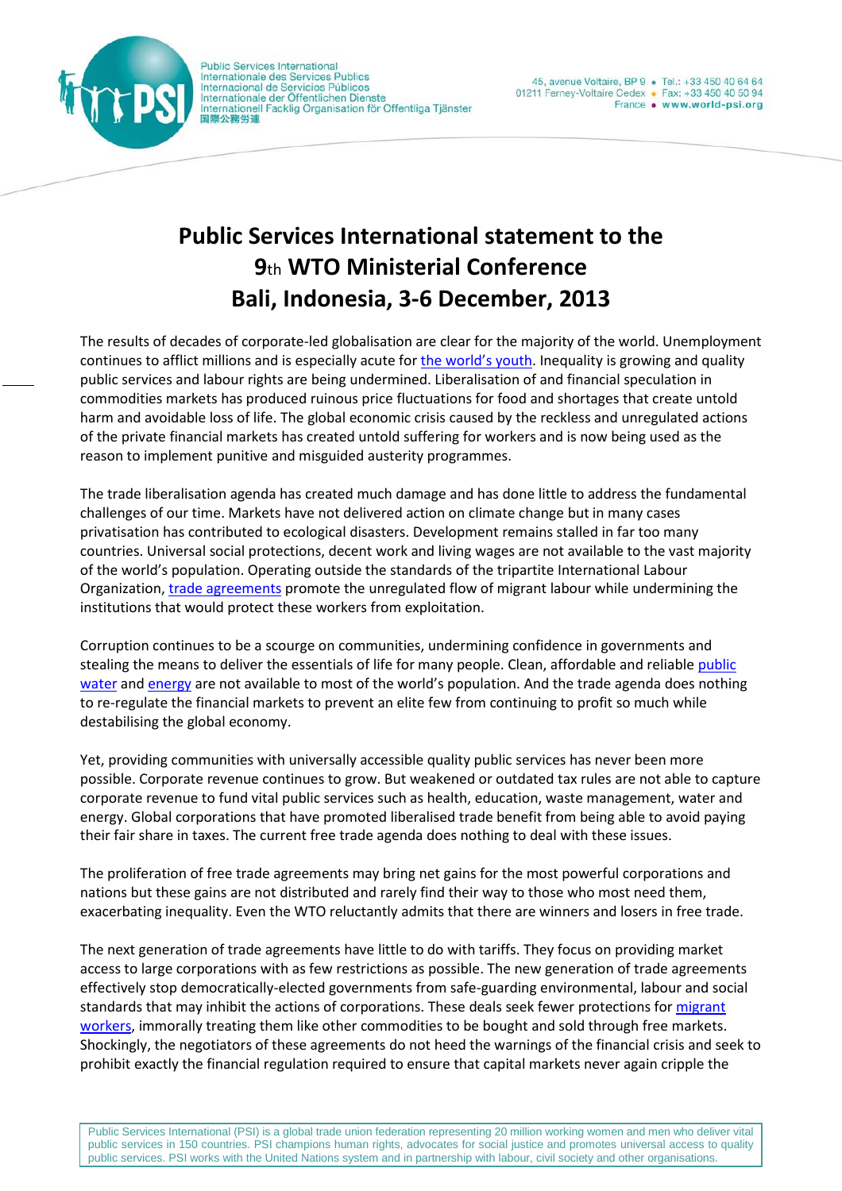

**Public Services International** Internationale des Services Publics Internacional de Servicios Públicos Internationale der Öffentlichen Dienste<br>Internationale der Öffentlichen Dienste 國際公務労連

# **Public Services International statement to the 9**th **WTO Ministerial Conference Bali, Indonesia, 3-6 December, 2013**

The results of decades of corporate-led globalisation are clear for the majority of the world. Unemployment continues to afflict millions and is especially acute fo[r the world's youth.](http://www.world-psi.org/en/issue/young-workers) Inequality is growing and quality public services and labour rights are being undermined. Liberalisation of and financial speculation in commodities markets has produced ruinous price fluctuations for food and shortages that create untold harm and avoidable loss of life. The global economic crisis caused by the reckless and unregulated actions of the private financial markets has created untold suffering for workers and is now being used as the reason to implement punitive and misguided austerity programmes.

The trade liberalisation agenda has created much damage and has done little to address the fundamental challenges of our time. Markets have not delivered action on climate change but in many cases privatisation has contributed to ecological disasters. Development remains stalled in far too many countries. Universal social protections, decent work and living wages are not available to the vast majority of the world's population. Operating outside the standards of the tripartite International Labour Organization, [trade agreements](http://www.world-psi.org/en/issue/trade) promote the unregulated flow of migrant labour while undermining the institutions that would protect these workers from exploitation.

Corruption continues to be a scourge on communities, undermining confidence in governments and stealing the means to deliver the essentials of life for many people. Clean, affordable and reliable public [water](http://www.world-psi.org/en/issue/water-and-sanitation) an[d energy](http://www.world-psi.org/en/issue/energy) are not available to most of the world's population. And the trade agenda does nothing to re-regulate the financial markets to prevent an elite few from continuing to profit so much while destabilising the global economy.

Yet, providing communities with universally accessible quality public services has never been more possible. Corporate revenue continues to grow. But weakened or outdated tax rules are not able to capture corporate revenue to fund vital public services such as health, education, waste management, water and energy. Global corporations that have promoted liberalised trade benefit from being able to avoid paying their fair share in taxes. The current free trade agenda does nothing to deal with these issues.

The proliferation of free trade agreements may bring net gains for the most powerful corporations and nations but these gains are not distributed and rarely find their way to those who most need them, exacerbating inequality. Even the WTO reluctantly admits that there are winners and losers in free trade.

The next generation of trade agreements have little to do with tariffs. They focus on providing market access to large corporations with as few restrictions as possible. The new generation of trade agreements effectively stop democratically-elected governments from safe-guarding environmental, labour and social standards that may inhibit the actions of corporations. These deals seek fewer protections for migrant [workers,](http://www.world-psi.org/en/issue/migration) immorally treating them like other commodities to be bought and sold through free markets. Shockingly, the negotiators of these agreements do not heed the warnings of the financial crisis and seek to prohibit exactly the financial regulation required to ensure that capital markets never again cripple the

Public Services International (PSI) is a global trade union federation representing 20 million working women and men who deliver vital public services in 150 countries. PSI champions human rights, advocates for social justice and promotes universal access to quality public services. PSI works with the United Nations system and in partnership with labour, civil society and other organisations.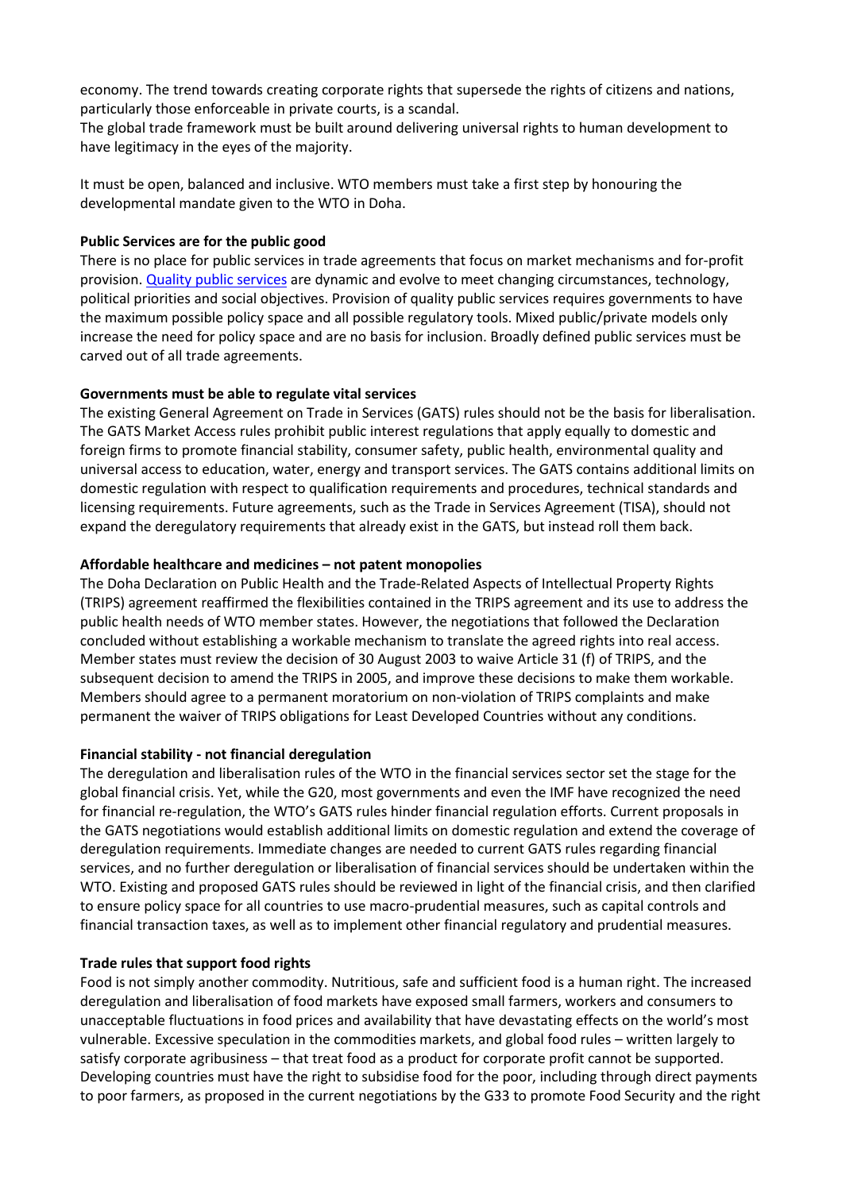economy. The trend towards creating corporate rights that supersede the rights of citizens and nations, particularly those enforceable in private courts, is a scandal.

The global trade framework must be built around delivering universal rights to human development to have legitimacy in the eyes of the majority.

It must be open, balanced and inclusive. WTO members must take a first step by honouring the developmental mandate given to the WTO in Doha.

# **Public Services are for the public good**

There is no place for public services in trade agreements that focus on market mechanisms and for-profit provision. [Quality public services](http://www.world-psi.org/en/issue/quality-public-services) are dynamic and evolve to meet changing circumstances, technology, political priorities and social objectives. Provision of quality public services requires governments to have the maximum possible policy space and all possible regulatory tools. Mixed public/private models only increase the need for policy space and are no basis for inclusion. Broadly defined public services must be carved out of all trade agreements.

## **Governments must be able to regulate vital services**

The existing General Agreement on Trade in Services (GATS) rules should not be the basis for liberalisation. The GATS Market Access rules prohibit public interest regulations that apply equally to domestic and foreign firms to promote financial stability, consumer safety, public health, environmental quality and universal access to education, water, energy and transport services. The GATS contains additional limits on domestic regulation with respect to qualification requirements and procedures, technical standards and licensing requirements. Future agreements, such as the Trade in Services Agreement (TISA), should not expand the deregulatory requirements that already exist in the GATS, but instead roll them back.

## **Affordable healthcare and medicines – not patent monopolies**

The Doha Declaration on Public Health and the Trade-Related Aspects of Intellectual Property Rights (TRIPS) agreement reaffirmed the flexibilities contained in the TRIPS agreement and its use to address the public health needs of WTO member states. However, the negotiations that followed the Declaration concluded without establishing a workable mechanism to translate the agreed rights into real access. Member states must review the decision of 30 August 2003 to waive Article 31 (f) of TRIPS, and the subsequent decision to amend the TRIPS in 2005, and improve these decisions to make them workable. Members should agree to a permanent moratorium on non-violation of TRIPS complaints and make permanent the waiver of TRIPS obligations for Least Developed Countries without any conditions.

# **Financial stability - not financial deregulation**

The deregulation and liberalisation rules of the WTO in the financial services sector set the stage for the global financial crisis. Yet, while the G20, most governments and even the IMF have recognized the need for financial re-regulation, the WTO's GATS rules hinder financial regulation efforts. Current proposals in the GATS negotiations would establish additional limits on domestic regulation and extend the coverage of deregulation requirements. Immediate changes are needed to current GATS rules regarding financial services, and no further deregulation or liberalisation of financial services should be undertaken within the WTO. Existing and proposed GATS rules should be reviewed in light of the financial crisis, and then clarified to ensure policy space for all countries to use macro-prudential measures, such as capital controls and financial transaction taxes, as well as to implement other financial regulatory and prudential measures.

#### **Trade rules that support food rights**

Food is not simply another commodity. Nutritious, safe and sufficient food is a human right. The increased deregulation and liberalisation of food markets have exposed small farmers, workers and consumers to unacceptable fluctuations in food prices and availability that have devastating effects on the world's most vulnerable. Excessive speculation in the commodities markets, and global food rules – written largely to satisfy corporate agribusiness – that treat food as a product for corporate profit cannot be supported. Developing countries must have the right to subsidise food for the poor, including through direct payments to poor farmers, as proposed in the current negotiations by the G33 to promote Food Security and the right